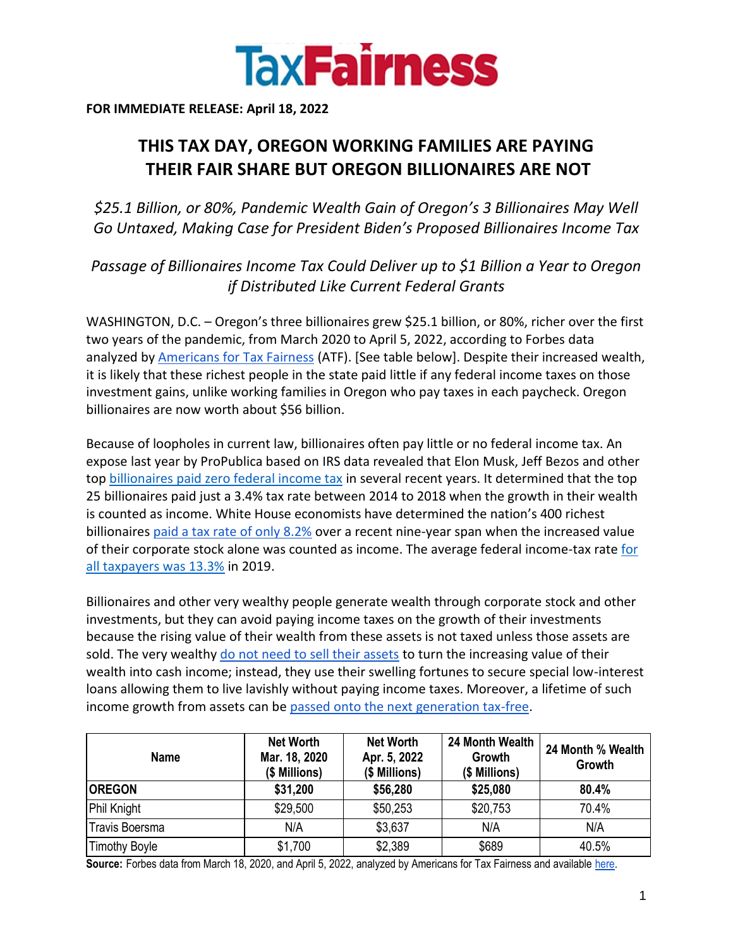

**FOR IMMEDIATE RELEASE: April 18, 2022**

## **THIS TAX DAY, OREGON WORKING FAMILIES ARE PAYING THEIR FAIR SHARE BUT OREGON BILLIONAIRES ARE NOT**

*\$25.1 Billion, or 80%, Pandemic Wealth Gain of Oregon's 3 Billionaires May Well Go Untaxed, Making Case for President Biden's Proposed Billionaires Income Tax*

*Passage of Billionaires Income Tax Could Deliver up to \$1 Billion a Year to Oregon if Distributed Like Current Federal Grants*

WASHINGTON, D.C. – Oregon's three billionaires grew \$25.1 billion, or 80%, richer over the first two years of the pandemic, from March 2020 to April 5, 2022, according to Forbes data analyzed by [Americans for Tax Fairness](https://americansfortaxfairness.org/) (ATF). [See table below]. Despite their increased wealth, it is likely that these richest people in the state paid little if any federal income taxes on those investment gains, unlike working families in Oregon who pay taxes in each paycheck. Oregon billionaires are now worth about \$56 billion.

Because of loopholes in current law, billionaires often pay little or no federal income tax. An expose last year by ProPublica based on IRS data revealed that Elon Musk, Jeff Bezos and other to[p](https://americansfortaxfairness.org/wp-content/uploads/ProPublica-Billionaires-Fact-Sheet-Updated.pdf) [billionaires paid zero federal income tax](https://americansfortaxfairness.org/wp-content/uploads/ProPublica-Billionaires-Fact-Sheet-Updated.pdf) in several recent years. It determined that the top 25 billionaires paid just a 3.4% tax rate between 2014 to 2018 when the growth in their wealth is counted as income. White House economists have determined the nation's 400 richest billionaire[s](https://www.whitehouse.gov/cea/written-materials/2021/09/23/what-is-the-average-federal-individual-income-tax-rate-on-the-wealthiest-americans/) [paid a tax rate of only 8.2%](https://www.whitehouse.gov/cea/written-materials/2021/09/23/what-is-the-average-federal-individual-income-tax-rate-on-the-wealthiest-americans/) over a recent nine-year span when the increased value of their corporate stock alone was counted as income. The average federal income-tax rat[e](https://taxfoundation.org/summary-latest-federal-income-tax-data-2022-update/) [for](https://taxfoundation.org/summary-latest-federal-income-tax-data-2022-update/)  [all taxpayers was 13.3%](https://taxfoundation.org/summary-latest-federal-income-tax-data-2022-update/) in 2019.

Billionaires and other very wealthy people generate wealth through corporate stock and other investments, but they can avoid paying income taxes on the growth of their investments because the rising value of their wealth from these assets is not taxed unless those assets are sold. The ver[y](https://www.wsj.com/articles/buy-borrow-die-how-rich-americans-live-off-their-paper-wealth-11625909583) wealthy [do not need to sell their assets](https://www.wsj.com/articles/buy-borrow-die-how-rich-americans-live-off-their-paper-wealth-11625909583) to turn the increasing value of their wealth into cash income; instead, they use their swelling fortunes to secure special low-interest loans allowing them to live lavishly without paying income taxes. Moreover, a lifetime of such income growth from assets can b[e](https://americansfortaxfairness.org/issue/stop-protecting-billionaires-close-stepped-basis-loophole/) [passed onto the next generation tax-free.](https://americansfortaxfairness.org/issue/stop-protecting-billionaires-close-stepped-basis-loophole/)

| <b>Name</b>          | <b>Net Worth</b><br>Mar. 18, 2020<br>(\$ Millions) | <b>Net Worth</b><br>Apr. 5, 2022<br>(\$ Millions) | 24 Month Wealth<br>Growth<br>(\$ Millions) | 24 Month % Wealth<br>Growth |
|----------------------|----------------------------------------------------|---------------------------------------------------|--------------------------------------------|-----------------------------|
| <b>OREGON</b>        | \$31,200                                           | \$56,280                                          | \$25,080                                   | 80.4%                       |
| Phil Knight          | \$29,500                                           | \$50,253                                          | \$20,753                                   | 70.4%                       |
| Travis Boersma       | N/A                                                | \$3,637                                           | N/A                                        | N/A                         |
| <b>Timothy Boyle</b> | \$1,700                                            | \$2,389                                           | \$689                                      | 40.5%                       |

**Source:** Forbes data from March 18, 2020, and April 5, 2022, analyzed by Americans for Tax Fairness and available [here.](https://docs.google.com/spreadsheets/d/1MksOhwmIojtZihAmPcfcYeaGoG3FOFZmiKUza1dIRD4/edit?usp=sharing)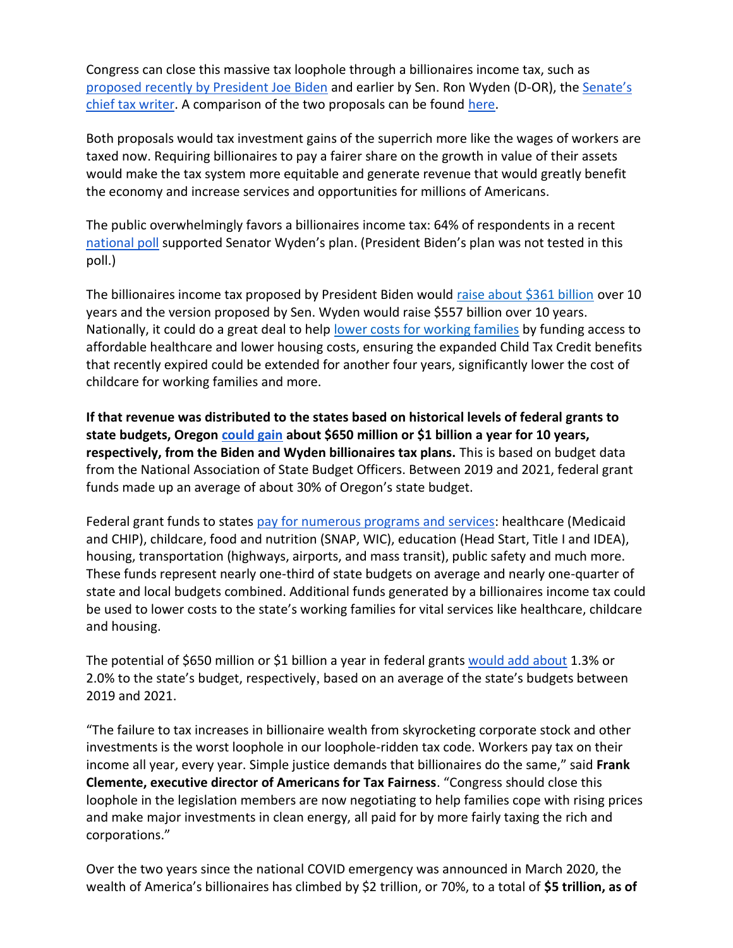Congress can close this massive tax loophole through a billionaires income tax, such a[s](https://www.nytimes.com/2022/03/28/us/politics/biden-billionaire-tax.html) [proposed recently by President Joe Biden](https://www.nytimes.com/2022/03/28/us/politics/biden-billionaire-tax.html) and earlier by Sen. Ron Wyden (D-OR), th[e](https://www.finance.senate.gov/chairmans-news/wyden-unveils-billionaires-income-tax) [Senate's](https://www.finance.senate.gov/chairmans-news/wyden-unveils-billionaires-income-tax)  [chief tax writer.](https://www.finance.senate.gov/chairmans-news/wyden-unveils-billionaires-income-tax) A comparison of the two proposals can be foun[d](https://docs.google.com/document/d/1VdQTBEMGB2dHRGIt823stOBmIdul86-N7fYAQWxp-wU/edit?usp=sharing) [here.](https://americansfortaxfairness.org/issue/comparison-biden-wyden-billionaires-income-tax-proposals-short/)

Both proposals would tax investment gains of the superrich more like the wages of workers are taxed now. Requiring billionaires to pay a fairer share on the growth in value of their assets would make the tax system more equitable and generate revenue that would greatly benefit the economy and increase services and opportunities for millions of Americans.

The public overwhelmingly favors a billionaires income tax: 64% of respondents in a recen[t](https://docs.google.com/document/d/1AhWvucOLV2qY6izLkZvHpPig6DDmdFaCbmeM-5E65Xw/edit) [national poll](https://docs.google.com/document/d/1AhWvucOLV2qY6izLkZvHpPig6DDmdFaCbmeM-5E65Xw/edit) supported Senator Wyden's plan. (President Biden's plan was not tested in this poll.)

The billionaires income tax proposed by President Biden would [raise about \\$361 billion](https://americansfortaxfairness.org/issue/comparison-biden-wyden-billionaires-income-tax-proposals-short/) over 10 years and the version proposed by Sen. Wyden would raise \$557 billion over 10 years. Nationally, it could do a great deal to hel[p](https://americansfortaxfairness.org/issue/6-ways-spend-revenue-billionaires-income-tax/) [lower costs for working families](https://americansfortaxfairness.org/issue/6-ways-spend-revenue-billionaires-income-tax/) by funding access to affordable healthcare and lower housing costs, ensuring the expanded Child Tax Credit benefits that recently expired could be extended for another four years, significantly lower the cost of childcare for working families and more.

**If that revenue was distributed to the states based on historical levels of federal grants to state budgets, Oregon [could gain](https://docs.google.com/spreadsheets/d/1uMGQ0_Ow8ssIrktfYIvIQZwB44zOHf82ILpvh5kzWUI/edit?usp=sharing) about \$650 million or \$1 billion a year for 10 years, respectively, from the Biden and Wyden billionaires tax plans.** This is based on budget data from the National Association of State Budget Officers. Between 2019 and 2021, federal grant funds made up an average of about 30% of Oregon's state budget.

Federal grant funds to states [pay for numerous programs and services:](https://www.cbpp.org/research/state-budget-and-tax/federal-aid-to-state-and-local-governments) healthcare (Medicaid and CHIP), childcare, food and nutrition (SNAP, WIC), education (Head Start, Title I and IDEA), housing, transportation (highways, airports, and mass transit), public safety and much more. These funds represent nearly one-third of state budgets on average and nearly one-quarter of state and local budgets combined. Additional funds generated by a billionaires income tax could be used to lower costs to the state's working families for vital services like healthcare, childcare and housing.

The potential of \$650 million or \$1 billion a year in federal grant[s](https://docs.google.com/spreadsheets/d/1uMGQ0_Ow8ssIrktfYIvIQZwB44zOHf82ILpvh5kzWUI/edit?usp=sharing) [would add about](https://docs.google.com/spreadsheets/d/1uMGQ0_Ow8ssIrktfYIvIQZwB44zOHf82ILpvh5kzWUI/edit?usp=sharing) 1.3% or 2.0% to the state's budget, respectively, based on an average of the state's budgets between 2019 and 2021.

"The failure to tax increases in billionaire wealth from skyrocketing corporate stock and other investments is the worst loophole in our loophole-ridden tax code. Workers pay tax on their income all year, every year. Simple justice demands that billionaires do the same," said **Frank Clemente, executive director of Americans for Tax Fairness**. "Congress should close this loophole in the legislation members are now negotiating to help families cope with rising prices and make major investments in clean energy, all paid for by more fairly taxing the rich and corporations."

Over the two years since the national COVID emergency was announced in March 2020, the wealth of America's billionaires has climbed by \$2 trillion, or 70%, to a total of **\$5 trillion, as of**